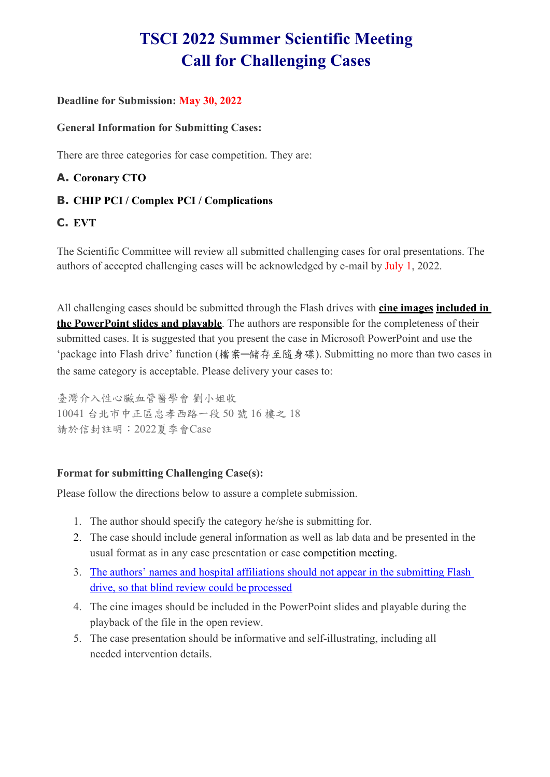# **TSCI 2022 Summer Scientific Meeting Call for Challenging Cases**

#### **Deadline for Submission: May 30, 2022**

#### **General Information for Submitting Cases:**

There are three categories for case competition. They are:

### **A. Coronary CTO**

### **B. CHIP PCI / Complex PCI / Complications**

### **C. EVT**

The Scientific Committee will review all submitted challenging cases for oral presentations. The authors of accepted challenging cases will be acknowledged by e-mail by July 1, 2022.

All challenging cases should be submitted through the Flash drives with **cine images included in the PowerPoint slides and playable**. The authors are responsible for the completeness of their submitted cases. It is suggested that you present the case in Microsoft PowerPoint and use the 'package into Flash drive' function (檔案─儲存至隨身碟). Submitting no more than two cases in the same category is acceptable. Please delivery your cases to:

臺灣介入性心臟血管醫學會 劉小姐收 10041 台北市中正區忠孝西路一段 50 號 16 樓之 18 請於信封註明:2022夏季會Case

### **Format for submitting Challenging Case(s):**

Please follow the directions below to assure a complete submission.

- 1. The author should specify the category he/she is submitting for.
- 2. The case should include general information as well as lab data and be presented in the usual format as in any case presentation or case competition meeting.
- 3. The authors' names and hospital affiliations should not appear in the submitting Flash drive, so that blind review could be processed
- 4. The cine images should be included in the PowerPoint slides and playable during the playback of the file in the open review.
- 5. The case presentation should be informative and self-illustrating, including all needed intervention details.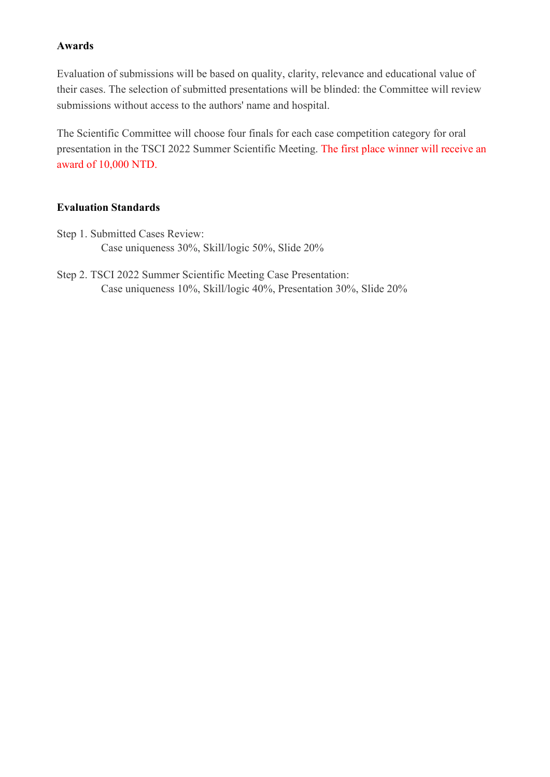#### **Awards**

Evaluation of submissions will be based on quality, clarity, relevance and educational value of their cases. The selection of submitted presentations will be blinded: the Committee will review submissions without access to the authors' name and hospital.

The Scientific Committee will choose four finals for each case competition category for oral presentation in the TSCI 2022 Summer Scientific Meeting. The first place winner will receive an award of 10,000 NTD.

#### **Evaluation Standards**

- Step 1. Submitted Cases Review: Case uniqueness 30%, Skill/logic 50%, Slide 20%
- Step 2. TSCI 2022 Summer Scientific Meeting Case Presentation: Case uniqueness 10%, Skill/logic 40%, Presentation 30%, Slide 20%